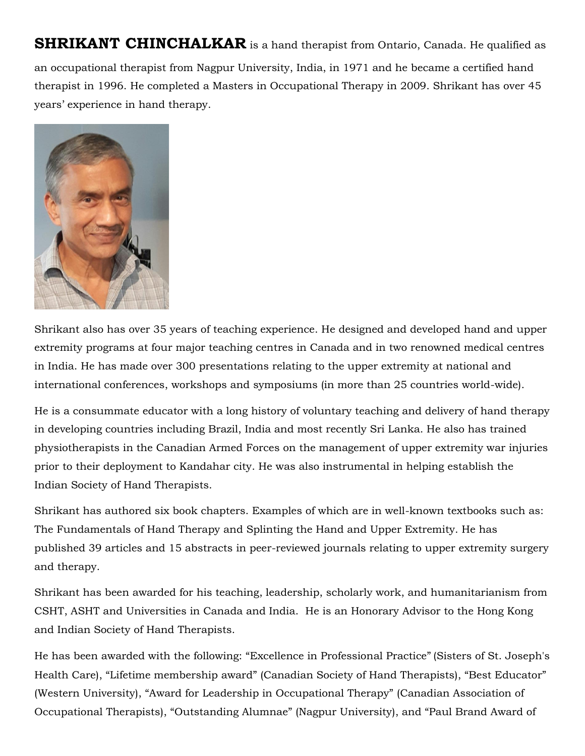**SHRIKANT CHINCHALKAR** is a hand therapist from Ontario, Canada. He qualified as an occupational therapist from Nagpur University, India, in 1971 and he became a certified hand therapist in 1996. He completed a Masters in Occupational Therapy in 2009. Shrikant has over 45 years' experience in hand therapy.



Shrikant also has over 35 years of teaching experience. He designed and developed hand and upper extremity programs at four major teaching centres in Canada and in two renowned medical centres in India. He has made over 300 presentations relating to the upper extremity at national and international conferences, workshops and symposiums (in more than 25 countries world-wide).

He is a consummate educator with a long history of voluntary teaching and delivery of hand therapy in developing countries including Brazil, India and most recently Sri Lanka. He also has trained physiotherapists in the Canadian Armed Forces on the management of upper extremity war injuries prior to their deployment to Kandahar city. He was also instrumental in helping establish the Indian Society of Hand Therapists.

Shrikant has authored six book chapters. Examples of which are in well-known textbooks such as: The Fundamentals of Hand Therapy and Splinting the Hand and Upper Extremity. He has published 39 articles and 15 abstracts in peer-reviewed journals relating to upper extremity surgery and therapy.

Shrikant has been awarded for his teaching, leadership, scholarly work, and humanitarianism from CSHT, ASHT and Universities in Canada and India. He is an Honorary Advisor to the Hong Kong and Indian Society of Hand Therapists.

He has been awarded with the following: "Excellence in Professional Practice" (Sisters of St. Joseph's Health Care), "Lifetime membership award" (Canadian Society of Hand Therapists), "Best Educator" (Western University), "Award for Leadership in Occupational Therapy" (Canadian Association of Occupational Therapists), "Outstanding Alumnae" (Nagpur University), and "Paul Brand Award of